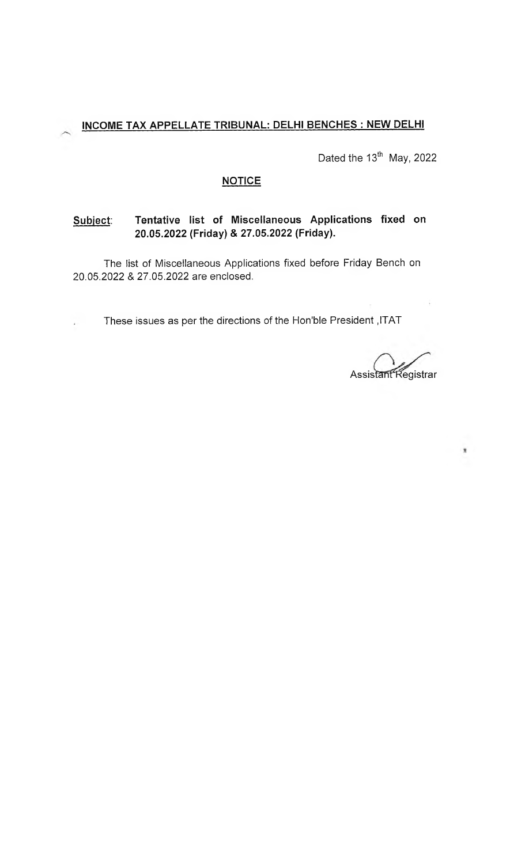Dated the 13<sup>th</sup> May, 2022

## **NOTICE**

## **Subject: Tentative list of Miscellaneous Applications fixed on 20.05.2022 (Friday) & 27.05.2022 (Friday).**

The list of Miscellaneous Applications fixed before Friday Bench on 20.05.2022 & 27.05.2022 are enclosed.

These issues as per the directions of the Hon'ble President ,ITAT

Assistant Registrar

×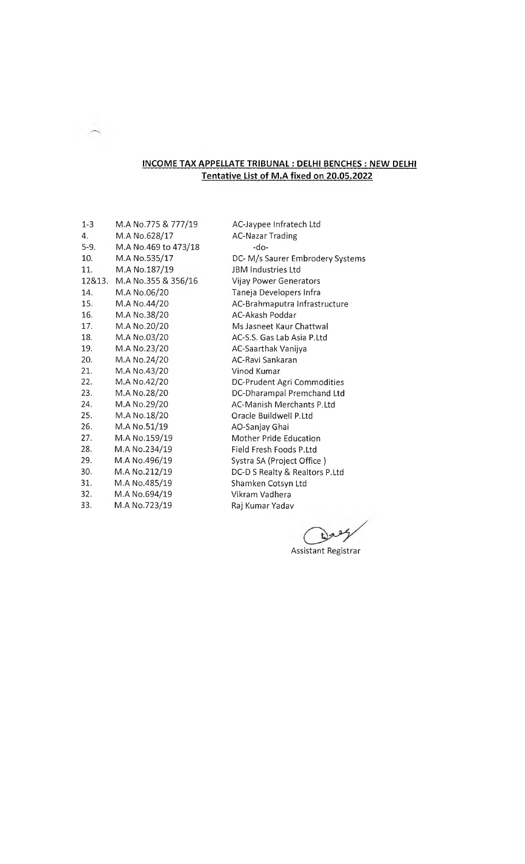## **INCOME TAX APPELLATE TRIBUNAL : DELHI BENCHES : NEW DELHI Tentative List of M.A fixed on 20.05.2022**

| $1 - 3$ | M.A No.775 & 777/19  | AC-Jaypee Infratech Ltd          |
|---------|----------------------|----------------------------------|
| 4.      | M.A No.628/17        | <b>AC-Nazar Trading</b>          |
| $5-9.$  | M.A No.469 to 473/18 | $-do-$                           |
| 10.     | M.A No.535/17        | DC-M/s Saurer Embrodery Systems  |
| 11.     | M.A No.187/19        | JBM Industries Ltd               |
| 12&13.  | M.A No.355 & 356/16  | Vijay Power Generators           |
| 14.     | M.A No.06/20         | Taneja Developers Infra          |
| 15.     | M.A No.44/20         | AC-Brahmaputra Infrastructure    |
| 16.     | M.A No.38/20         | AC-Akash Poddar                  |
| 17.     | M.A No.20/20         | Ms Jasneet Kaur Chattwal         |
| 18.     | M.A No.03/20         | AC-S.S. Gas Lab Asia P.Ltd       |
| 19.     | M.A No.23/20         | AC-Saarthak Vanijya              |
| 20.     | M.A No.24/20         | AC-Ravi Sankaran                 |
| 21.     | M.A No.43/20         | Vinod Kumar                      |
| 22.     | M.A No.42/20         | DC-Prudent Agri Commodities      |
| 23.     | M.A No.28/20         | DC-Dharampal Premchand Ltd       |
| 24.     | M.A No.29/20         | <b>AC-Manish Merchants P.Ltd</b> |
| 25.     | M.A No.18/20         | Oracle Buildwell P.Ltd           |
| 26.     | M.A No.51/19         | AO-Sanjay Ghai                   |
| 27.     | M.A No.159/19        | Mother Pride Education           |
| 28.     | M.A No.234/19        | Field Fresh Foods P.Ltd          |
| 29.     | M.A No.496/19        | Systra SA (Project Office)       |
| 30.     | M.A No.212/19        | DC-D S Realty & Realtors P.Ltd   |
| 31.     | M.A No.485/19        | Shamken Cotsyn Ltd               |
| 32.     | M.A No.694/19        | Vikram Vadhera                   |
| 33.     | M.A No.723/19        | Raj Kumar Yadav                  |
|         |                      |                                  |

 $\bigwedge$ 

 $\omega$ 

Assistant Registrar